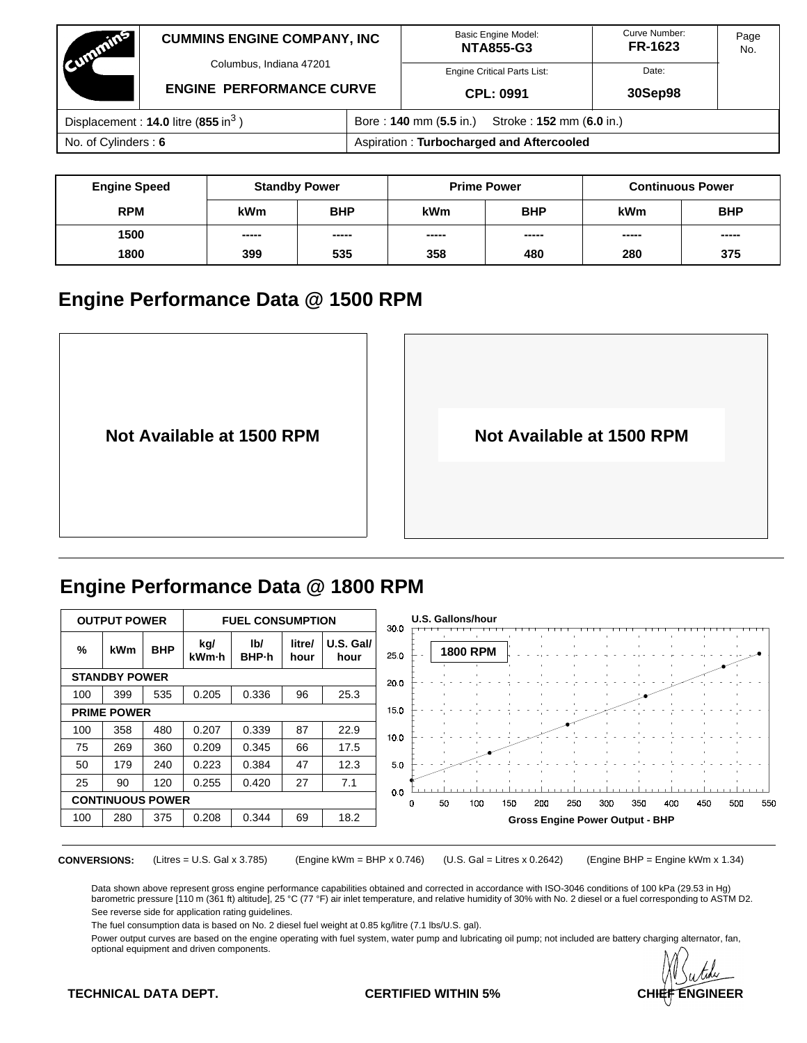| Cummins                                           | <b>CUMMINS ENGINE COMPANY, INC</b> |                                                    | <b>Basic Engine Model:</b><br><b>NTA855-G3</b> | Curve Number:<br>FR-1623 | Page<br>No. |  |  |
|---------------------------------------------------|------------------------------------|----------------------------------------------------|------------------------------------------------|--------------------------|-------------|--|--|
|                                                   | Columbus, Indiana 47201            |                                                    | <b>Engine Critical Parts List:</b>             | Date:                    |             |  |  |
|                                                   | <b>ENGINE PERFORMANCE CURVE</b>    |                                                    | CPL: 0991                                      | 30Sep98                  |             |  |  |
| Displacement: $14.0$ litre (855 in <sup>3</sup> ) |                                    | Stroke: 152 mm (6.0 in.)<br>Bore: 140 mm (5.5 in.) |                                                |                          |             |  |  |
| No. of Cylinders: 6                               |                                    | Aspiration: Turbocharged and Aftercooled           |                                                |                          |             |  |  |

| <b>Engine Speed</b> |            | <b>Standby Power</b> | <b>Prime Power</b> |            | <b>Continuous Power</b> |            |  |  |
|---------------------|------------|----------------------|--------------------|------------|-------------------------|------------|--|--|
| <b>RPM</b>          | <b>kWm</b> | <b>BHP</b>           | kWm                | <b>BHP</b> | <b>kWm</b>              | <b>BHP</b> |  |  |
| 1500                | -----      | -----                | -----              | -----      | -----                   | -----      |  |  |
| 1800<br>399         |            | 535                  | 358                | 480        | 280                     | 375        |  |  |

## **Engine Performance Data @ 1500 RPM**



# **Engine Performance Data @ 1800 RPM**

|     |                         | <b>OUTPUT POWER</b><br><b>FUEL CONSUMPTION</b> |              |              |                |                   | 30.0           |   |    | <b>U.S. Gallons/hour</b> |     |     |                                        |     |     |     |     |     |     |
|-----|-------------------------|------------------------------------------------|--------------|--------------|----------------|-------------------|----------------|---|----|--------------------------|-----|-----|----------------------------------------|-----|-----|-----|-----|-----|-----|
| %   | <b>kWm</b>              | <b>BHP</b>                                     | kg/<br>kWm-h | lb/<br>BHP-h | litre/<br>hour | U.S. Gall<br>hour | 25.0           |   |    | <b>1800 RPM</b>          |     |     |                                        |     |     |     |     |     |     |
|     | <b>STANDBY POWER</b>    |                                                |              |              |                |                   | 20.0           |   |    |                          |     |     |                                        |     |     |     |     |     |     |
| 100 | 399                     | 535                                            | 0.205        | 0.336        | 96             | 25.3              |                |   |    |                          |     |     |                                        |     |     |     |     |     |     |
|     | <b>PRIME POWER</b>      |                                                |              |              |                |                   | 15.0           |   |    |                          |     |     |                                        |     |     |     |     |     |     |
| 100 | 358                     | 480                                            | 0.207        | 0.339        | 87             | 22.9              | 10.0           |   |    |                          |     |     |                                        |     |     |     |     |     |     |
| 75  | 269                     | 360                                            | 0.209        | 0.345        | 66             | 17.5              |                |   |    |                          |     |     |                                        |     |     |     |     |     |     |
| 50  | 179                     | 240                                            | 0.223        | 0.384        | 47             | 12.3              | 5 <sub>0</sub> |   |    |                          |     |     |                                        |     |     |     |     |     |     |
| 25  | 90                      | 120                                            | 0.255        | 0.420        | 27             | 7.1               |                |   |    |                          |     |     |                                        |     |     |     |     |     |     |
|     | <b>CONTINUOUS POWER</b> |                                                |              |              |                |                   | 0 <sub>0</sub> | D | 50 | 100                      | 150 | 200 | 250                                    | 300 | 350 | 4DO | 450 | 500 | 550 |
| 100 | 280                     | 375                                            | 0.208        | 0.344        | 69             | 18.2              |                |   |    |                          |     |     | <b>Gross Engine Power Output - BHP</b> |     |     |     |     |     |     |
|     |                         |                                                |              |              |                |                   |                |   |    |                          |     |     |                                        |     |     |     |     |     |     |

**CONVERSIONS:** (Litres = U.S. Gal x 3.785) (Engine kWm = BHP x 0.746) (U.S. Gal = Litres x 0.2642) (Engine BHP = Engine kWm x 1.34)

Data shown above represent gross engine performance capabilities obtained and corrected in accordance with ISO-3046 conditions of 100 kPa (29.53 in Hg)<br>barometric pressure [110 m (361 ft) altitude], 25 °C (77 °F) air inlet See reverse side for application rating guidelines.

The fuel consumption data is based on No. 2 diesel fuel weight at 0.85 kg/litre (7.1 lbs/U.S. gal).

Power output curves are based on the engine operating with fuel system, water pump and lubricating oil pump; not included are battery charging alternator, fan, optional equipment and driven components.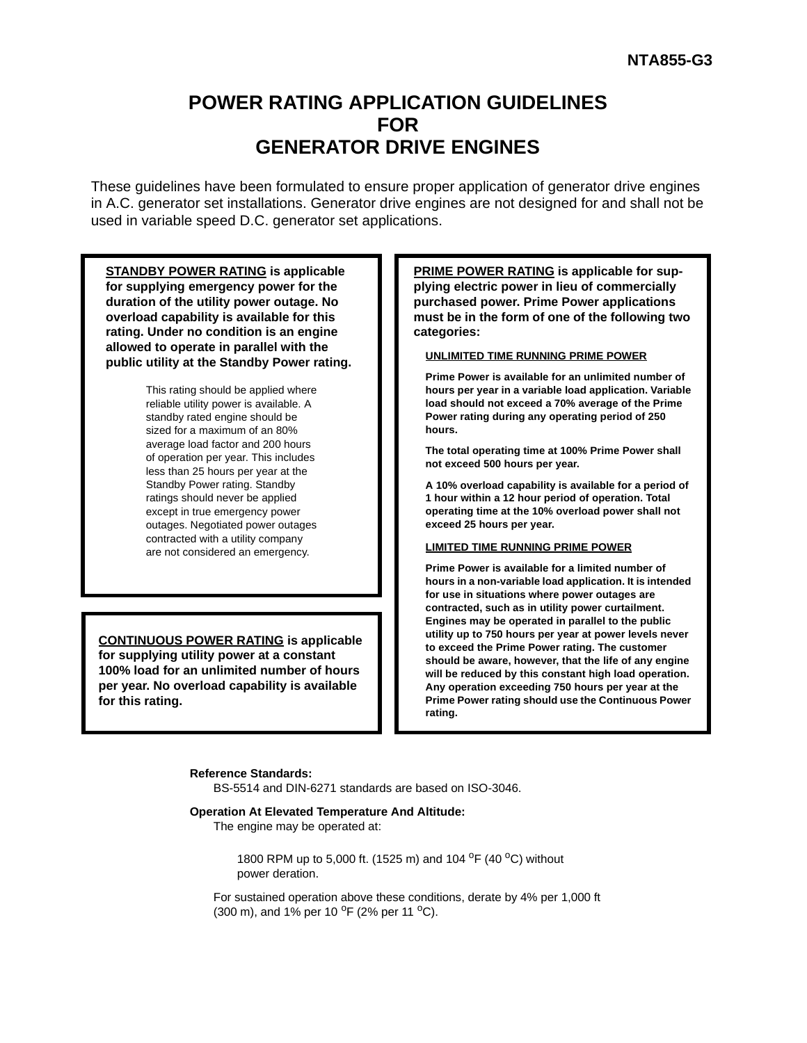## **POWER RATING APPLICATION GUIDELINES FOR GENERATOR DRIVE ENGINES**

These guidelines have been formulated to ensure proper application of generator drive engines in A.C. generator set installations. Generator drive engines are not designed for and shall not be used in variable speed D.C. generator set applications.

**STANDBY POWER RATING is applicable for supplying emergency power for the duration of the utility power outage. No overload capability is available for this rating. Under no condition is an engine allowed to operate in parallel with the public utility at the Standby Power rating.**

> This rating should be applied where reliable utility power is available. A standby rated engine should be sized for a maximum of an 80% average load factor and 200 hours of operation per year. This includes less than 25 hours per year at the Standby Power rating. Standby ratings should never be applied except in true emergency power outages. Negotiated power outages contracted with a utility company are not considered an emergency.

**CONTINUOUS POWER RATING is applicable for supplying utility power at a constant 100% load for an unlimited number of hours per year. No overload capability is available for this rating.**

**PRIME POWER RATING is applicable for supplying electric power in lieu of commercially purchased power. Prime Power applications must be in the form of one of the following two categories:**

### **UNLIMITED TIME RUNNING PRIME POWER**

**Prime Power is available for an unlimited number of hours per year in a variable load application. Variable load should not exceed a 70% average of the Prime Power rating during any operating period of 250 hours.**

**The total operating time at 100% Prime Power shall not exceed 500 hours per year.**

**A 10% overload capability is available for a period of 1 hour within a 12 hour period of operation. Total operating time at the 10% overload power shall not exceed 25 hours per year.**

#### **LIMITED TIME RUNNING PRIME POWER**

**Prime Power is available for a limited number of hours in a non-variable load application. It is intended for use in situations where power outages are contracted, such as in utility power curtailment. Engines may be operated in parallel to the public utility up to 750 hours per year at power levels never to exceed the Prime Power rating. The customer should be aware, however, that the life of any engine will be reduced by this constant high load operation. Any operation exceeding 750 hours per year at the Prime Power rating should use the Continuous Power rating.**

#### **Reference Standards:**

BS-5514 and DIN-6271 standards are based on ISO-3046.

#### **Operation At Elevated Temperature And Altitude:**

The engine may be operated at:

1800 RPM up to 5,000 ft. (1525 m) and 104 <sup>o</sup>F (40 <sup>o</sup>C) without power deration.

For sustained operation above these conditions, derate by 4% per 1,000 ft (300 m), and 1% per 10  $^{\circ}$ F (2% per 11  $^{\circ}$ C).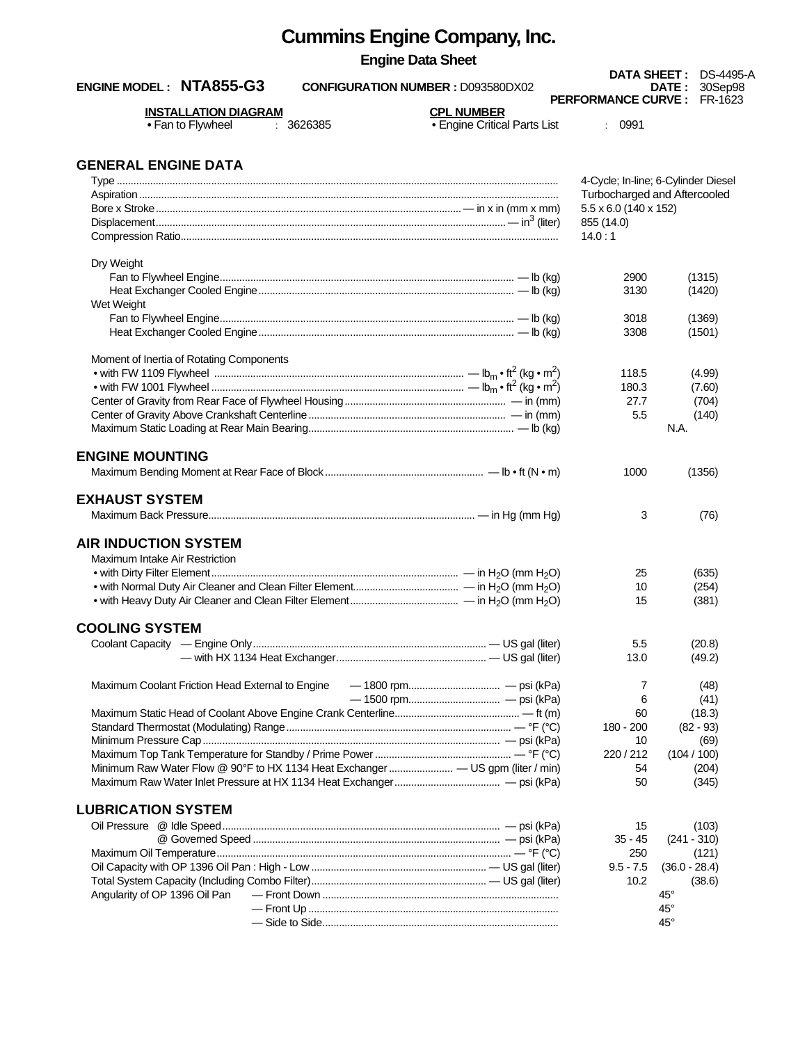| <b>Cummins Engine Company, Inc.</b>                                  |                                                   |                                   |                                     |
|----------------------------------------------------------------------|---------------------------------------------------|-----------------------------------|-------------------------------------|
| <b>Engine Data Sheet</b>                                             |                                                   |                                   | <b>DATA SHEET: DS-4495-A</b>        |
| ENGINE MODEL: NTA855-G3<br><b>CONFIGURATION NUMBER : D093580DX02</b> |                                                   |                                   | 30Sep98<br><b>DATE :</b>            |
| <b>INSTALLATION DIAGRAM</b><br>• Fan to Flywheel<br>3626385          | <b>CPL NUMBER</b><br>• Engine Critical Parts List | <b>PERFORMANCE CURVE:</b><br>0991 | FR-1623                             |
| <b>GENERAL ENGINE DATA</b>                                           |                                                   |                                   |                                     |
|                                                                      |                                                   |                                   | 4-Cycle; In-line; 6-Cylinder Diesel |
|                                                                      |                                                   |                                   | Turbocharged and Aftercooled        |
|                                                                      |                                                   | 5.5 x 6.0 (140 x 152)             |                                     |
|                                                                      |                                                   | 855 (14.0)<br>14.0:1              |                                     |
|                                                                      |                                                   |                                   |                                     |
| Dry Weight                                                           |                                                   | 2900                              | (1315)                              |
|                                                                      |                                                   | 3130                              | (1420)                              |
| Wet Weight                                                           |                                                   |                                   |                                     |
|                                                                      |                                                   | 3018                              | (1369)                              |
|                                                                      |                                                   | 3308                              | (1501)                              |
|                                                                      |                                                   |                                   |                                     |
| Moment of Inertia of Rotating Components                             |                                                   | 118.5                             | (4.99)                              |
|                                                                      |                                                   | 180.3                             | (7.60)                              |
|                                                                      |                                                   | 27.7                              | (704)                               |
|                                                                      |                                                   | 5.5                               | (140)                               |
|                                                                      |                                                   |                                   | N.A.                                |
| <b>ENGINE MOUNTING</b>                                               |                                                   | 1000                              | (1356)                              |
| <b>EXHAUST SYSTEM</b>                                                |                                                   |                                   |                                     |
|                                                                      |                                                   | 3                                 | (76)                                |
| <b>AIR INDUCTION SYSTEM</b>                                          |                                                   |                                   |                                     |
| Maximum Intake Air Restriction                                       |                                                   |                                   |                                     |
|                                                                      |                                                   | 25                                | (635)                               |
|                                                                      |                                                   | 10<br>15                          | (254)                               |
|                                                                      |                                                   |                                   | (381)                               |
| <b>COOLING SYSTEM</b>                                                |                                                   |                                   |                                     |
|                                                                      |                                                   | 5.5                               | (20.8)                              |
|                                                                      |                                                   | 13.0                              | (49.2)                              |
| Maximum Coolant Friction Head External to Engine                     |                                                   | 7                                 | (48)                                |
|                                                                      |                                                   | 6                                 | (41)                                |
|                                                                      |                                                   | 60                                | (18.3)                              |
|                                                                      |                                                   | 180 - 200                         | $(82 - 93)$                         |
|                                                                      |                                                   | 10                                | (69)                                |
|                                                                      |                                                   | 220/212                           | (104/100)                           |
|                                                                      |                                                   | 54<br>50                          | (204)<br>(345)                      |
|                                                                      |                                                   |                                   |                                     |
| <b>LUBRICATION SYSTEM</b>                                            |                                                   |                                   |                                     |
|                                                                      |                                                   | 15                                | (103)                               |
|                                                                      |                                                   | $35 - 45$                         | $(241 - 310)$                       |
|                                                                      |                                                   | 250                               | (121)                               |
|                                                                      |                                                   | $9.5 - 7.5$<br>10.2               | $(36.0 - 28.4)$<br>(38.6)           |
| Angularity of OP 1396 Oil Pan                                        |                                                   |                                   | $45^{\circ}$                        |
|                                                                      |                                                   |                                   | $45^{\circ}$                        |
|                                                                      |                                                   |                                   | $45^{\circ}$                        |